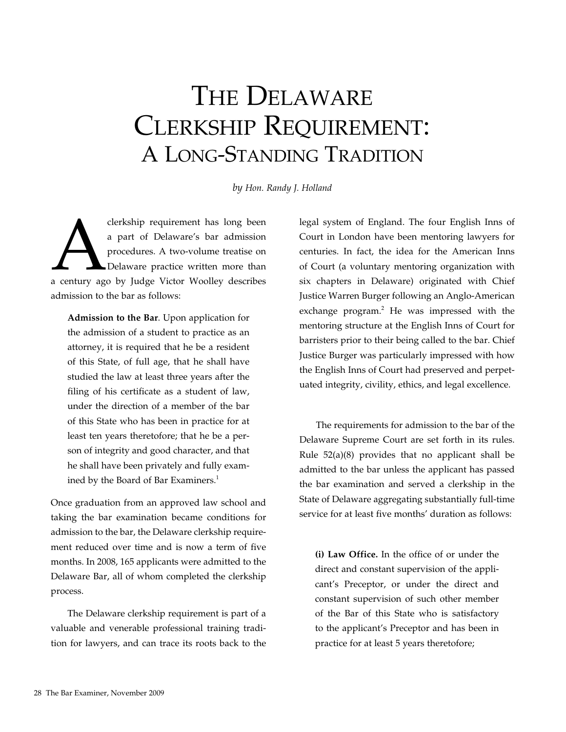## The Delaware Clerkship Requirement: A Long-Standing Tradition

*by Hon. Randy J. Holland*

derkship requirement has long been<br>
a part of Delaware's bar admission<br>
procedures. A two-volume treatise on<br>
Delaware practice written more than<br>
a century ago by Judge Victor Woolley describes a part of Delaware's bar admission procedures. A two-volume treatise on Delaware practice written more than admission to the bar as follows:

**Admission to the Bar**. Upon application for the admission of a student to practice as an attorney, it is required that he be a resident of this State, of full age, that he shall have studied the law at least three years after the filing of his certificate as a student of law, under the direction of a member of the bar of this State who has been in practice for at least ten years theretofore; that he be a person of integrity and good character, and that he shall have been privately and fully examined by the Board of Bar Examiners.<sup>1</sup>

Once graduation from an approved law school and taking the bar examination became conditions for admission to the bar, the Delaware clerkship requirement reduced over time and is now a term of five months. In 2008, 165 applicants were admitted to the Delaware Bar, all of whom completed the clerkship process.

The Delaware clerkship requirement is part of a valuable and venerable professional training tradition for lawyers, and can trace its roots back to the

legal system of England. The four English Inns of Court in London have been mentoring lawyers for centuries. In fact, the idea for the American Inns of Court (a voluntary mentoring organization with six chapters in Delaware) originated with Chief Justice Warren Burger following an Anglo-American exchange program.<sup>2</sup> He was impressed with the mentoring structure at the English Inns of Court for barristers prior to their being called to the bar. Chief Justice Burger was particularly impressed with how the English Inns of Court had preserved and perpetuated integrity, civility, ethics, and legal excellence.

The requirements for admission to the bar of the Delaware Supreme Court are set forth in its rules. Rule 52(a)(8) provides that no applicant shall be admitted to the bar unless the applicant has passed the bar examination and served a clerkship in the State of Delaware aggregating substantially full-time service for at least five months' duration as follows:

**(i) Law Office.** In the office of or under the direct and constant supervision of the applicant's Preceptor, or under the direct and constant supervision of such other member of the Bar of this State who is satisfactory to the applicant's Preceptor and has been in practice for at least 5 years theretofore;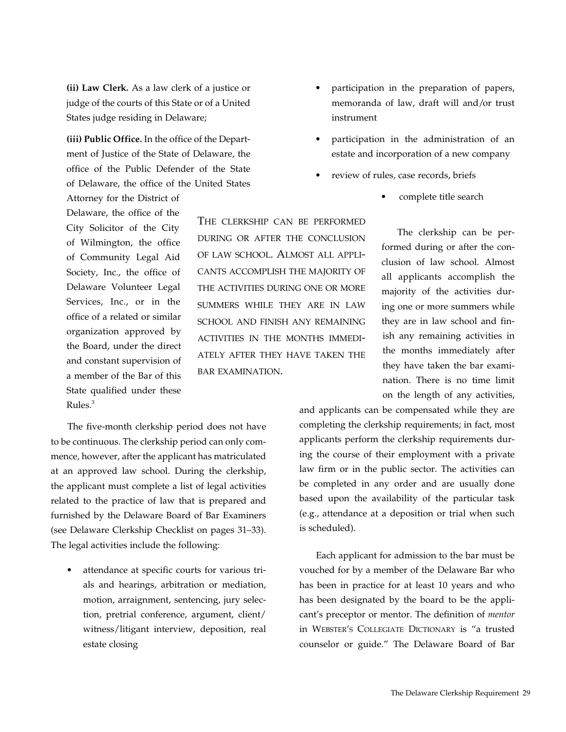**(ii) Law Clerk.** As a law clerk of a justice or judge of the courts of this State or of a United States judge residing in Delaware;

**(iii) Public Office.** In the office of the Department of Justice of the State of Delaware, the office of the Public Defender of the State of Delaware, the office of the United States

Attorney for the District of Delaware, the office of the City Solicitor of the City of Wilmington, the office of Community Legal Aid Society, Inc., the office of Delaware Volunteer Legal Services, Inc., or in the office of a related or similar organization approved by the Board, under the direct and constant supervision of a member of the Bar of this State qualified under these Rules. $3$ 

The five-month clerkship period does not have to be continuous. The clerkship period can only commence, however, after the applicant has matriculated at an approved law school. During the clerkship, the applicant must complete a list of legal activities related to the practice of law that is prepared and furnished by the Delaware Board of Bar Examiners (see Delaware Clerkship Checklist on pages 31–33). The legal activities include the following:

attendance at specific courts for various trials and hearings, arbitration or mediation, motion, arraignment, sentencing, jury selection, pretrial conference, argument, client/ witness/litigant interview, deposition, real estate closing

participation in the preparation of papers, memoranda of law, draft will and/or trust instrument

- participation in the administration of an estate and incorporation of a new company
- review of rules, case records, briefs
	- complete title search

The clerkship can be performed during or after the conclusion of law school. Almost all applicants accomplish the majority of the activities during one or more summers while they are in law school and finish any remaining activities in the months immediately after they have taken the bar examination. There is no time limit on the length of any activities,

and applicants can be compensated while they are completing the clerkship requirements; in fact, most applicants perform the clerkship requirements during the course of their employment with a private law firm or in the public sector. The activities can be completed in any order and are usually done based upon the availability of the particular task (e.g., attendance at a deposition or trial when such is scheduled).

Each applicant for admission to the bar must be vouched for by a member of the Delaware Bar who has been in practice for at least 10 years and who has been designated by the board to be the applicant's preceptor or mentor. The definition of *mentor* in Webster's Collegiate Dictionary is "a trusted counselor or guide." The Delaware Board of Bar

The clerkship can be performed during or after the conclusion of law school. Almost all applicants accomplish the majority of the activities during one or more summers while they are in law school and finish any remaining activities in the months immediately after they have taken the bar examination.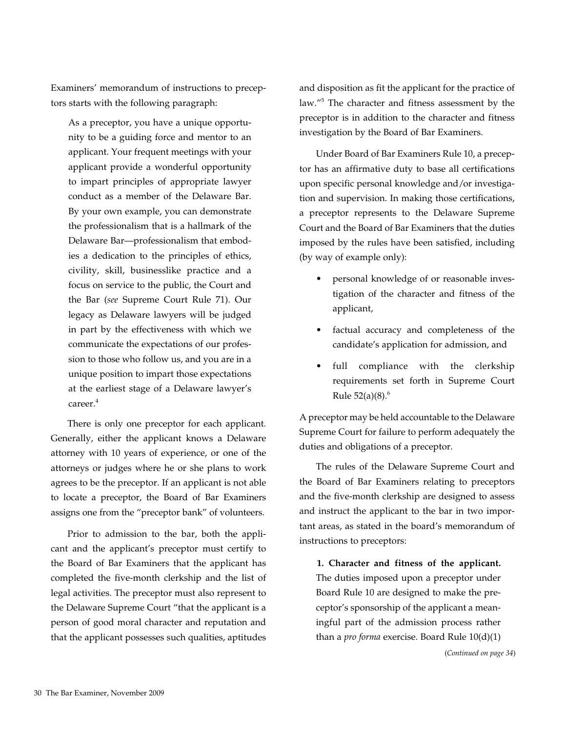Examiners' memorandum of instructions to preceptors starts with the following paragraph:

As a preceptor, you have a unique opportunity to be a guiding force and mentor to an applicant. Your frequent meetings with your applicant provide a wonderful opportunity to impart principles of appropriate lawyer conduct as a member of the Delaware Bar. By your own example, you can demonstrate the professionalism that is a hallmark of the Delaware Bar—professionalism that embodies a dedication to the principles of ethics, civility, skill, businesslike practice and a focus on service to the public, the Court and the Bar (*see* Supreme Court Rule 71). Our legacy as Delaware lawyers will be judged in part by the effectiveness with which we communicate the expectations of our profession to those who follow us, and you are in a unique position to impart those expectations at the earliest stage of a Delaware lawyer's career.4

There is only one preceptor for each applicant. Generally, either the applicant knows a Delaware attorney with 10 years of experience, or one of the attorneys or judges where he or she plans to work agrees to be the preceptor. If an applicant is not able to locate a preceptor, the Board of Bar Examiners assigns one from the "preceptor bank" of volunteers.

Prior to admission to the bar, both the applicant and the applicant's preceptor must certify to the Board of Bar Examiners that the applicant has completed the five-month clerkship and the list of legal activities. The preceptor must also represent to the Delaware Supreme Court "that the applicant is a person of good moral character and reputation and that the applicant possesses such qualities, aptitudes and disposition as fit the applicant for the practice of law."<sup>5</sup> The character and fitness assessment by the preceptor is in addition to the character and fitness investigation by the Board of Bar Examiners.

Under Board of Bar Examiners Rule 10, a preceptor has an affirmative duty to base all certifications upon specific personal knowledge and/or investigation and supervision. In making those certifications, a preceptor represents to the Delaware Supreme Court and the Board of Bar Examiners that the duties imposed by the rules have been satisfied, including (by way of example only):

- personal knowledge of or reasonable investigation of the character and fitness of the applicant,
- factual accuracy and completeness of the candidate's application for admission, and
- full compliance with the clerkship requirements set forth in Supreme Court Rule  $52(a)(8)$ .<sup>6</sup>

A preceptor may be held accountable to the Delaware Supreme Court for failure to perform adequately the duties and obligations of a preceptor.

The rules of the Delaware Supreme Court and the Board of Bar Examiners relating to preceptors and the five-month clerkship are designed to assess and instruct the applicant to the bar in two important areas, as stated in the board's memorandum of instructions to preceptors:

**1. Character and fitness of the applicant.** The duties imposed upon a preceptor under Board Rule 10 are designed to make the preceptor's sponsorship of the applicant a meaningful part of the admission process rather than a *pro forma* exercise. Board Rule 10(d)(1)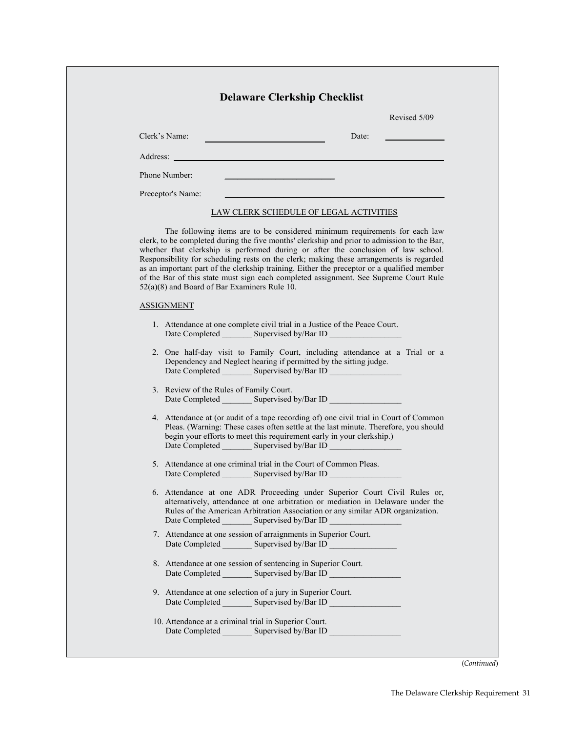| Revised 5/09                                                                                                                                                                                                                                                                                                                                                                                                                                                                                                                                                                                      |
|---------------------------------------------------------------------------------------------------------------------------------------------------------------------------------------------------------------------------------------------------------------------------------------------------------------------------------------------------------------------------------------------------------------------------------------------------------------------------------------------------------------------------------------------------------------------------------------------------|
| Clerk's Name:<br>Date:                                                                                                                                                                                                                                                                                                                                                                                                                                                                                                                                                                            |
| Address: <u>Note</u> 2008 and 2008 and 2008 and 2008 and 2008 and 2008 and 2008 and 2008 and 2008 and 2008 and 2008 and 2008 and 2008 and 2008 and 2008 and 2008 and 2008 and 2008 and 2008 and 2008 and 2008 and 2008 and 2008 and                                                                                                                                                                                                                                                                                                                                                               |
| Phone Number:                                                                                                                                                                                                                                                                                                                                                                                                                                                                                                                                                                                     |
| Preceptor's Name:                                                                                                                                                                                                                                                                                                                                                                                                                                                                                                                                                                                 |
| <b>LAW CLERK SCHEDULE OF LEGAL ACTIVITIES</b>                                                                                                                                                                                                                                                                                                                                                                                                                                                                                                                                                     |
| The following items are to be considered minimum requirements for each law<br>clerk, to be completed during the five months' clerkship and prior to admission to the Bar,<br>whether that clerkship is performed during or after the conclusion of law school.<br>Responsibility for scheduling rests on the clerk; making these arrangements is regarded<br>as an important part of the clerkship training. Either the preceptor or a qualified member<br>of the Bar of this state must sign each completed assignment. See Supreme Court Rule<br>$52(a)(8)$ and Board of Bar Examiners Rule 10. |
| <b>ASSIGNMENT</b>                                                                                                                                                                                                                                                                                                                                                                                                                                                                                                                                                                                 |
| 1. Attendance at one complete civil trial in a Justice of the Peace Court.                                                                                                                                                                                                                                                                                                                                                                                                                                                                                                                        |
| 2. One half-day visit to Family Court, including attendance at a Trial or a<br>Dependency and Neglect hearing if permitted by the sitting judge.                                                                                                                                                                                                                                                                                                                                                                                                                                                  |
| 3. Review of the Rules of Family Court.                                                                                                                                                                                                                                                                                                                                                                                                                                                                                                                                                           |
| 4. Attendance at (or audit of a tape recording of) one civil trial in Court of Common<br>Pleas. (Warning: These cases often settle at the last minute. Therefore, you should<br>begin your efforts to meet this requirement early in your clerkship.)                                                                                                                                                                                                                                                                                                                                             |
| 5. Attendance at one criminal trial in the Court of Common Pleas.                                                                                                                                                                                                                                                                                                                                                                                                                                                                                                                                 |
| 6. Attendance at one ADR Proceeding under Superior Court Civil Rules or,<br>alternatively, attendance at one arbitration or mediation in Delaware under the<br>Rules of the American Arbitration Association or any similar ADR organization.<br>Date Completed Supervised by/Bar ID                                                                                                                                                                                                                                                                                                              |
| 7. Attendance at one session of arraignments in Superior Court.                                                                                                                                                                                                                                                                                                                                                                                                                                                                                                                                   |
| 8. Attendance at one session of sentencing in Superior Court.<br>Date Completed _________ Supervised by/Bar ID __________________________________                                                                                                                                                                                                                                                                                                                                                                                                                                                 |
|                                                                                                                                                                                                                                                                                                                                                                                                                                                                                                                                                                                                   |

(*Continued*)

┓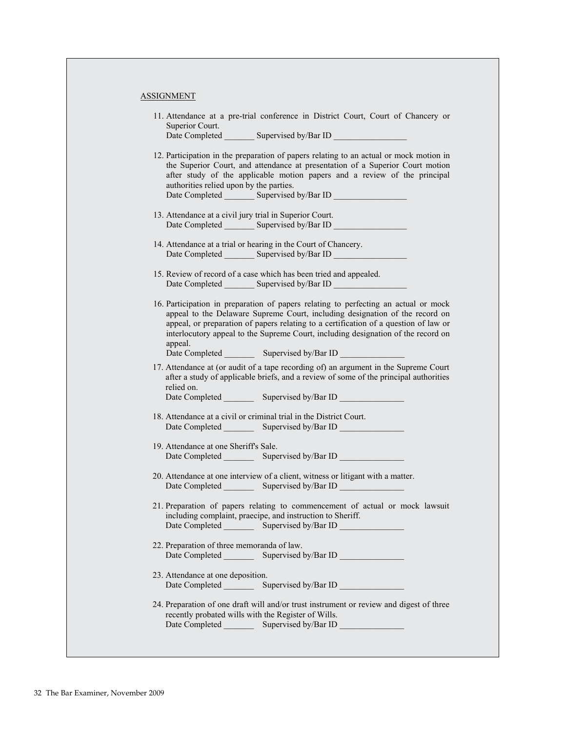ASSIGNMENT

| 11. Attendance at a pre-trial conference in District Court, Court of Chancery or<br>Superior Court.                                                                                                                                                                                                                                                                                                                                              |
|--------------------------------------------------------------------------------------------------------------------------------------------------------------------------------------------------------------------------------------------------------------------------------------------------------------------------------------------------------------------------------------------------------------------------------------------------|
| 12. Participation in the preparation of papers relating to an actual or mock motion in<br>the Superior Court, and attendance at presentation of a Superior Court motion<br>after study of the applicable motion papers and a review of the principal<br>authorities relied upon by the parties.<br>Date Completed _________ Supervised by/Bar ID __________________________________                                                              |
| 13. Attendance at a civil jury trial in Superior Court.<br>Date Completed _________ Supervised by/Bar ID __________________________________                                                                                                                                                                                                                                                                                                      |
| 14. Attendance at a trial or hearing in the Court of Chancery.<br>Date Completed _________ Supervised by/Bar ID __________________________________                                                                                                                                                                                                                                                                                               |
| 15. Review of record of a case which has been tried and appealed.<br>Date Completed _________ Supervised by/Bar ID __________________________________                                                                                                                                                                                                                                                                                            |
| 16. Participation in preparation of papers relating to perfecting an actual or mock<br>appeal to the Delaware Supreme Court, including designation of the record on<br>appeal, or preparation of papers relating to a certification of a question of law or<br>interlocutory appeal to the Supreme Court, including designation of the record on<br>appeal.<br>Date Completed ____________ Supervised by/Bar ID ________________________________ |
| 17. Attendance at (or audit of a tape recording of) an argument in the Supreme Court<br>after a study of applicable briefs, and a review of some of the principal authorities<br>relied on.<br>Date Completed ____________ Supervised by/Bar ID _______                                                                                                                                                                                          |
| 18. Attendance at a civil or criminal trial in the District Court.                                                                                                                                                                                                                                                                                                                                                                               |
| 19. Attendance at one Sheriff's Sale.<br>Date Completed ____________ Supervised by/Bar ID _________                                                                                                                                                                                                                                                                                                                                              |
| 20. Attendance at one interview of a client, witness or litigant with a matter.<br>Date Completed ___________ Supervised by/Bar ID _________________________________                                                                                                                                                                                                                                                                             |
| 21. Preparation of papers relating to commencement of actual or mock lawsuit<br>including complaint, praecipe, and instruction to Sheriff.<br>Date Completed ___________ Supervised by/Bar ID _________________________________                                                                                                                                                                                                                  |
| 22. Preparation of three memoranda of law.<br>Date Completed ___________ Supervised by/Bar ID _______                                                                                                                                                                                                                                                                                                                                            |
| 23. Attendance at one deposition.                                                                                                                                                                                                                                                                                                                                                                                                                |
| 24. Preparation of one draft will and/or trust instrument or review and digest of three<br>recently probated wills with the Register of Wills.<br>Date Completed ____________ Supervised by/Bar ID ________________________________                                                                                                                                                                                                              |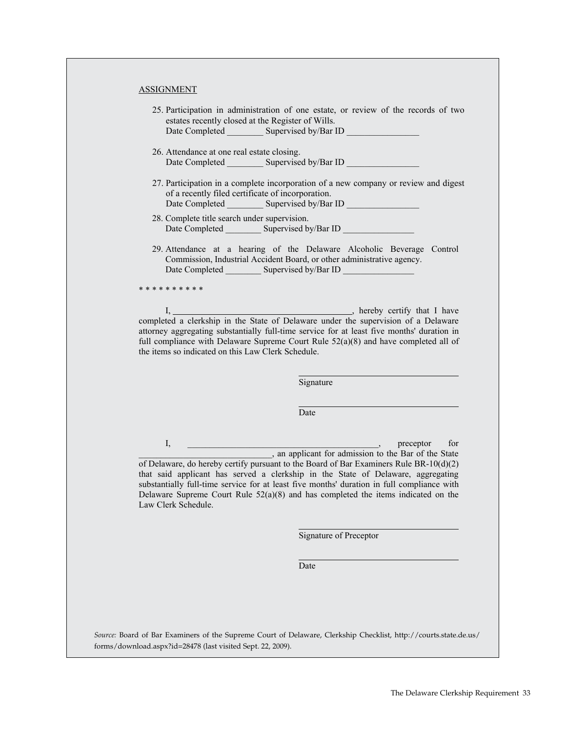## ASSIGNMENT

- 25. Participation in administration of one estate, or review of the records of two estates recently closed at the Register of Wills. Date Completed Supervised by/Bar ID
- 26. Attendance at one real estate closing. Date Completed Supervised by/Bar ID

recently probated wills with the Register of Wills.

- 27. Participation in a complete incorporation of a new company or review and digest of a recently filed certificate of incorporation. Date Completed Supervised by/Bar ID
- 28. Complete title search under supervision. Date Completed \_\_\_\_\_\_\_\_\_\_ Supervised by/Bar ID
- 29. Attendance at a hearing of the Delaware Alcoholic Beverage Control Commission, Industrial Accident Board, or other administrative agency. Date Completed \_\_\_\_\_\_\_\_\_\_\_ Supervised by/Bar ID \_

\* \* \* \* \* \* \* \* \* \*

I, hereby certify that I have completed a clerkship in the State of Delaware under the supervision of a Delaware attorney aggregating substantially full-time service for at least five months' duration in full compliance with Delaware Supreme Court Rule 52(a)(8) and have completed all of the items so indicated on this Law Clerk Schedule.

Signature

Date

I, <u>\_\_\_\_\_\_\_\_\_\_\_\_\_\_\_\_\_\_\_\_\_\_\_\_\_</u>, preceptor for and applicant for admission to the Bar of the State of Delaware, do hereby certify pursuant to the Board of Bar Examiners Rule BR-10(d)(2) that said applicant has served a clerkship in the State of Delaware, aggregating substantially full-time service for at least five months' duration in full compliance with Delaware Supreme Court Rule  $52(a)(8)$  and has completed the items indicated on the Law Clerk Schedule.

Signature of Preceptor

Date

*Source:* Board of Bar Examiners of the Supreme Court of Delaware, Clerkship Checklist, http://courts.state.de.us/ forms/download.aspx?id=28478 (last visited Sept. 22, 2009).